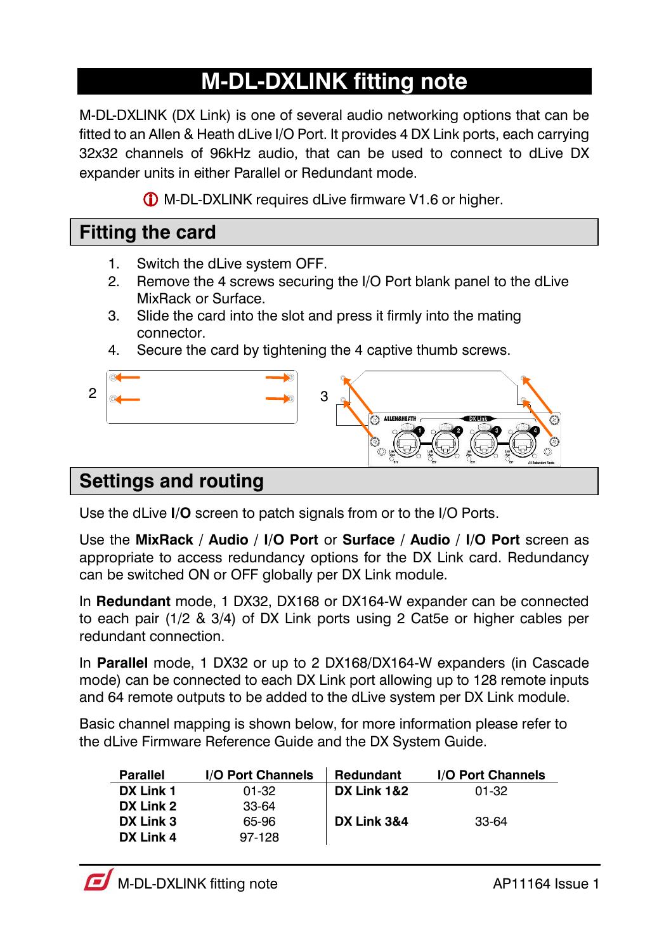# **M-DL-DXLINK fitting note**

M-DL-DXLINK (DX Link) is one of several audio networking options that can be fitted to an Allen & Heath dLive I/O Port. It provides 4 DX Link ports, each carrying 32x32 channels of 96kHz audio, that can be used to connect to dLive DX expander units in either Parallel or Redundant mode.

M-DL-DXLINK requires dLive firmware V1.6 or higher.

### **Fitting the card**

- 1. Switch the dLive system OFF.
- 2. Remove the 4 screws securing the I/O Port blank panel to the dLive MixRack or Surface.
- 3. Slide the card into the slot and press it firmly into the mating connector.
- 4. Secure the card by tightening the 4 captive thumb screws.



#### Use the dLive **I/O** screen to patch signals from or to the I/O Ports.

Use the **MixRack / Audio / I/O Port** or **Surface / Audio / I/O Port** screen as appropriate to access redundancy options for the DX Link card. Redundancy can be switched ON or OFF globally per DX Link module.

In **Redundant** mode, 1 DX32, DX168 or DX164-W expander can be connected to each pair (1/2 & 3/4) of DX Link ports using 2 Cat5e or higher cables per redundant connection.

In **Parallel** mode, 1 DX32 or up to 2 DX168/DX164-W expanders (in Cascade mode) can be connected to each DX Link port allowing up to 128 remote inputs and 64 remote outputs to be added to the dLive system per DX Link module.

Basic channel mapping is shown below, for more information please refer to the dLive Firmware Reference Guide and the DX System Guide.

| Parallel  | I/O Port Channels | Redundant   | <b>I/O Port Channels</b> |
|-----------|-------------------|-------------|--------------------------|
| DX Link 1 | $01-32$           | DX Link 1&2 | $01-32$                  |
| DX Link 2 | 33-64             |             |                          |
| DX Link 3 | 65-96             | DX Link 3&4 | 33-64                    |
| DX Link 4 | 97-128            |             |                          |